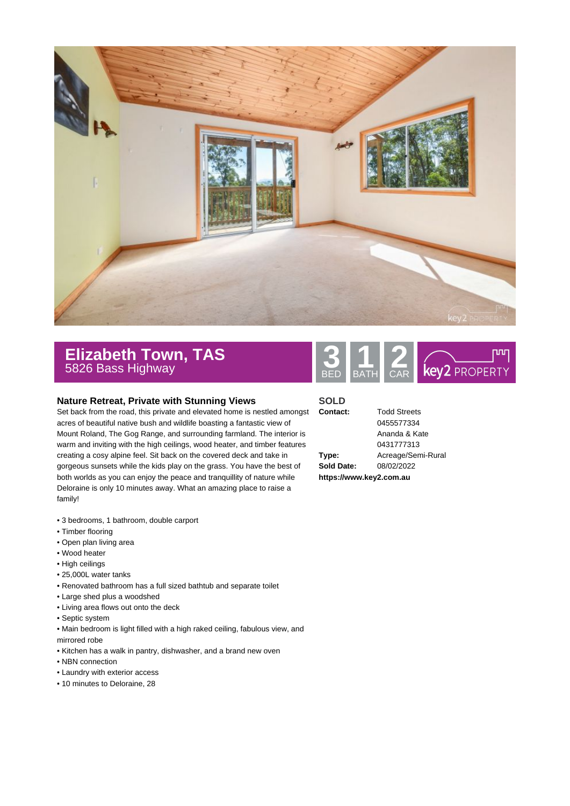

## **Elizabeth Town, TAS** 5826 Bass Highway **3 1 2**

## **Nature Retreat, Private with Stunning Views**

Set back from the road, this private and elevated home is nestled amongst acres of beautiful native bush and wildlife boasting a fantastic view of Mount Roland, The Gog Range, and surrounding farmland. The interior is warm and inviting with the high ceilings, wood heater, and timber features creating a cosy alpine feel. Sit back on the covered deck and take in gorgeous sunsets while the kids play on the grass. You have the best of both worlds as you can enjoy the peace and tranquillity of nature while Deloraine is only 10 minutes away. What an amazing place to raise a family!

- 3 bedrooms, 1 bathroom, double carport
- Timber flooring
- Open plan living area
- Wood heater
- High ceilings
- 25,000L water tanks
- Renovated bathroom has a full sized bathtub and separate toilet
- Large shed plus a woodshed
- Living area flows out onto the deck
- Septic system
- Main bedroom is light filled with a high raked ceiling, fabulous view, and mirrored robe
- Kitchen has a walk in pantry, dishwasher, and a brand new oven
- NBN connection
- Laundry with exterior access
- 10 minutes to Deloraine, 28



## **SOLD**

| Type:      |  |
|------------|--|
| Sold Date: |  |
|            |  |

**Contact:** Todd Streets 0455577334 Ananda & Kate 0431777313 **Type:** Acreage/Semi-Rural **Sold Date:** 08/02/2022

**https://www.key2.com.au**